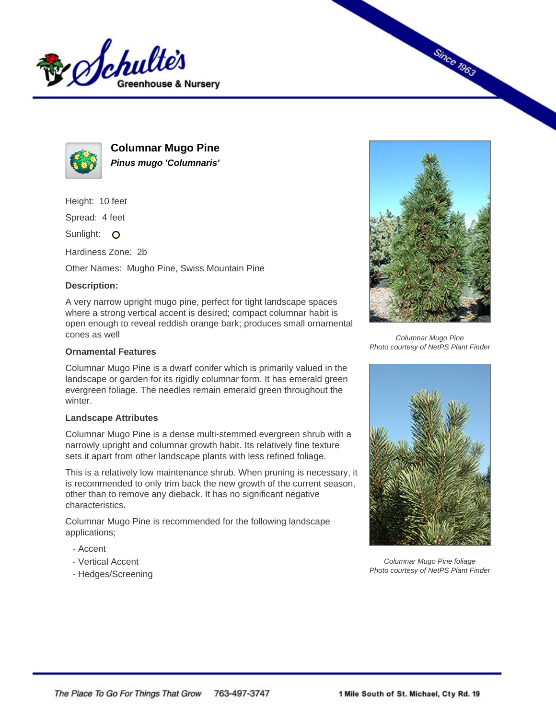



**Columnar Mugo Pine Pinus mugo 'Columnaris'**

Height: 10 feet

Spread: 4 feet

Sunlight: O

Hardiness Zone: 2b

Other Names: Mugho Pine, Swiss Mountain Pine

## **Description:**

A very narrow upright mugo pine, perfect for tight landscape spaces where a strong vertical accent is desired; compact columnar habit is open enough to reveal reddish orange bark; produces small ornamental cones as well

## **Ornamental Features**

Columnar Mugo Pine is a dwarf conifer which is primarily valued in the landscape or garden for its rigidly columnar form. It has emerald green evergreen foliage. The needles remain emerald green throughout the winter.

## **Landscape Attributes**

Columnar Mugo Pine is a dense multi-stemmed evergreen shrub with a narrowly upright and columnar growth habit. Its relatively fine texture sets it apart from other landscape plants with less refined foliage.

This is a relatively low maintenance shrub. When pruning is necessary, it is recommended to only trim back the new growth of the current season, other than to remove any dieback. It has no significant negative characteristics.

Columnar Mugo Pine is recommended for the following landscape applications;

- Accent
- Vertical Accent
- Hedges/Screening



**Since 1963** 

Columnar Mugo Pine Photo courtesy of NetPS Plant Finder



Columnar Mugo Pine foliage Photo courtesy of NetPS Plant Finder